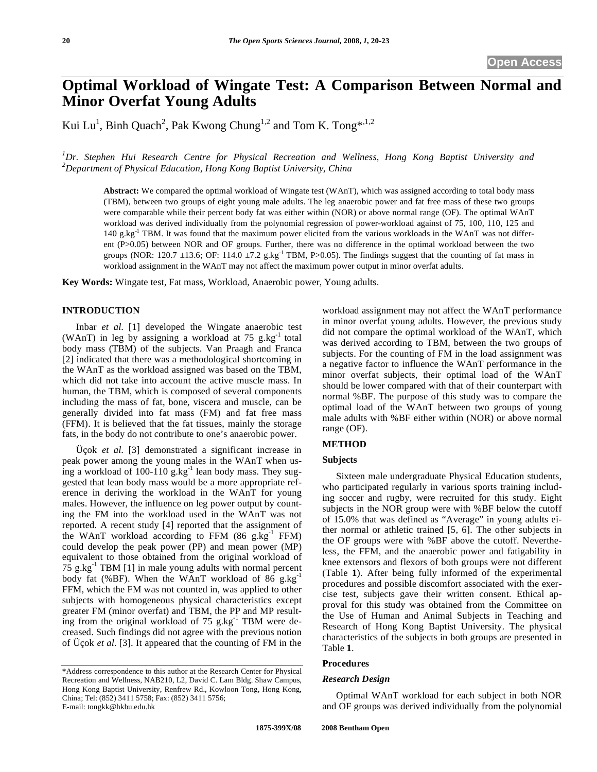# **Optimal Workload of Wingate Test: A Comparison Between Normal and Minor Overfat Young Adults**

Kui Lu<sup>1</sup>, Binh Quach<sup>2</sup>, Pak Kwong Chung<sup>1,2</sup> and Tom K. Tong\*<sup>1,2</sup>

*1 Dr. Stephen Hui Research Centre for Physical Recreation and Wellness, Hong Kong Baptist University and 2 Department of Physical Education, Hong Kong Baptist University, China* 

**Abstract:** We compared the optimal workload of Wingate test (WAnT), which was assigned according to total body mass (TBM), between two groups of eight young male adults. The leg anaerobic power and fat free mass of these two groups were comparable while their percent body fat was either within (NOR) or above normal range (OF). The optimal WAnT workload was derived individually from the polynomial regression of power-workload against of 75, 100, 110, 125 and 140 g.kg $^{-1}$  TBM. It was found that the maximum power elicited from the various workloads in the WAnT was not different (P>0.05) between NOR and OF groups. Further, there was no difference in the optimal workload between the two groups (NOR: 120.7  $\pm$ 13.6; OF: 114.0  $\pm$ 7.2 g.kg<sup>-1</sup> TBM, P>0.05). The findings suggest that the counting of fat mass in workload assignment in the WAnT may not affect the maximum power output in minor overfat adults.

**Key Words:** Wingate test, Fat mass, Workload, Anaerobic power, Young adults.

## **INTRODUCTION**

Inbar *et al*. [1] developed the Wingate anaerobic test (WAnT) in leg by assigning a workload at  $75$  g.kg<sup>-1</sup> total body mass (TBM) of the subjects. Van Praagh and Franca [2] indicated that there was a methodological shortcoming in the WAnT as the workload assigned was based on the TBM, which did not take into account the active muscle mass. In human, the TBM, which is composed of several components including the mass of fat, bone, viscera and muscle, can be generally divided into fat mass (FM) and fat free mass (FFM). It is believed that the fat tissues, mainly the storage fats, in the body do not contribute to one's anaerobic power.

Üçok *et al*. [3] demonstrated a significant increase in peak power among the young males in the WAnT when using a workload of  $100-110$  g.kg<sup>-1</sup> lean body mass. They suggested that lean body mass would be a more appropriate reference in deriving the workload in the WAnT for young males. However, the influence on leg power output by counting the FM into the workload used in the WAnT was not reported. A recent study [4] reported that the assignment of the WAnT workload according to FFM  $(86 \text{ g} \cdot \text{kg}^{-1} \text{ FFM})$ could develop the peak power (PP) and mean power (MP) equivalent to those obtained from the original workload of  $75$  g.kg<sup>-1</sup> TBM [1] in male young adults with normal percent body fat (%BF). When the WAnT workload of 86  $g.kg^{-1}$ FFM, which the FM was not counted in, was applied to other subjects with homogeneous physical characteristics except greater FM (minor overfat) and TBM, the PP and MP resulting from the original workload of 75 g.kg<sup>-1</sup> TBM were decreased. Such findings did not agree with the previous notion of Üçok *et al*. [3]. It appeared that the counting of FM in the

workload assignment may not affect the WAnT performance in minor overfat young adults. However, the previous study did not compare the optimal workload of the WAnT, which was derived according to TBM, between the two groups of subjects. For the counting of FM in the load assignment was a negative factor to influence the WAnT performance in the minor overfat subjects, their optimal load of the WAnT should be lower compared with that of their counterpart with normal %BF. The purpose of this study was to compare the optimal load of the WAnT between two groups of young male adults with %BF either within (NOR) or above normal range (OF).

# **METHOD**

# **Subjects**

Sixteen male undergraduate Physical Education students, who participated regularly in various sports training including soccer and rugby, were recruited for this study. Eight subjects in the NOR group were with %BF below the cutoff of 15.0% that was defined as "Average" in young adults either normal or athletic trained [5, 6]. The other subjects in the OF groups were with %BF above the cutoff. Nevertheless, the FFM, and the anaerobic power and fatigability in knee extensors and flexors of both groups were not different (Table **1**). After being fully informed of the experimental procedures and possible discomfort associated with the exercise test, subjects gave their written consent. Ethical approval for this study was obtained from the Committee on the Use of Human and Animal Subjects in Teaching and Research of Hong Kong Baptist University. The physical characteristics of the subjects in both groups are presented in Table **1**.

#### **Procedures**

#### *Research Design*

Optimal WAnT workload for each subject in both NOR and OF groups was derived individually from the polynomial

**<sup>\*</sup>**Address correspondence to this author at the Research Center for Physical Recreation and Wellness, NAB210, L2, David C. Lam Bldg. Shaw Campus, Hong Kong Baptist University, Renfrew Rd., Kowloon Tong, Hong Kong, China; Tel: (852) 3411 5758; Fax: (852) 3411 5756; E-mail: tongkk@hkbu.edu.hk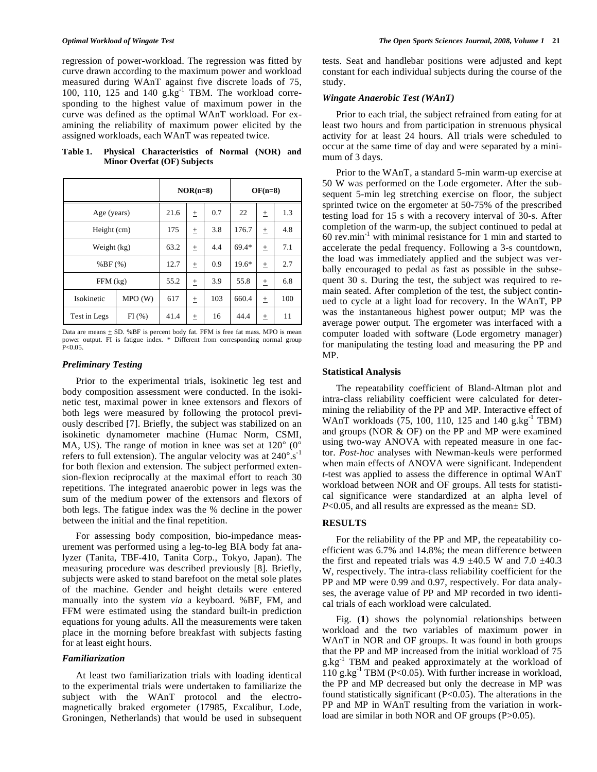regression of power-workload. The regression was fitted by curve drawn according to the maximum power and workload measured during WAnT against five discrete loads of 75, 100, 110, 125 and 140 g.kg<sup>-1</sup> TBM. The workload corresponding to the highest value of maximum power in the curve was defined as the optimal WAnT workload. For examining the reliability of maximum power elicited by the assigned workloads, each WAnT was repeated twice.

**Table 1. Physical Characteristics of Normal (NOR) and Minor Overfat (OF) Subjects**

|              |        | $NOR(n=8)$ |   |     | $OF(n=8)$ |          |     |
|--------------|--------|------------|---|-----|-----------|----------|-----|
| Age (years)  |        | 21.6       | 土 | 0.7 | 22        | 土        | 1.3 |
| Height (cm)  |        | 175        | 土 | 3.8 | 176.7     | 土        | 4.8 |
| Weight (kg)  |        | 63.2       | 土 | 4.4 | 69.4*     | 土        | 7.1 |
| %BF(%)       |        | 12.7       | 土 | 0.9 | $19.6*$   | 土        | 2.7 |
| $FFM$ (kg)   |        | 55.2       | 土 | 3.9 | 55.8      | 土        | 6.8 |
| Isokinetic   | MPO(W) | 617        | Ŧ | 103 | 660.4     | $^{\pm}$ | 100 |
| Test in Legs | FI(%)  | 41.4       | 土 | 16  | 44.4      | 土        | 11  |

Data are means  $\pm$  SD. %BF is percent body fat. FFM is free fat mass. MPO is mean power output. FI is fatigue index. \* Different from corresponding normal group  $P < 0.05$ 

### *Preliminary Testing*

Prior to the experimental trials, isokinetic leg test and body composition assessment were conducted. In the isokinetic test, maximal power in knee extensors and flexors of both legs were measured by following the protocol previously described [7]. Briefly, the subject was stabilized on an isokinetic dynamometer machine (Humac Norm, CSMI, MA, US). The range of motion in knee was set at  $120^{\circ}$  (0° refers to full extension). The angular velocity was at  $240^{\circ}$ .s<sup>-1</sup> for both flexion and extension. The subject performed extension-flexion reciprocally at the maximal effort to reach 30 repetitions. The integrated anaerobic power in legs was the sum of the medium power of the extensors and flexors of both legs. The fatigue index was the % decline in the power between the initial and the final repetition.

For assessing body composition, bio-impedance measurement was performed using a leg-to-leg BIA body fat analyzer (Tanita, TBF-410, Tanita Corp., Tokyo, Japan). The measuring procedure was described previously [8]. Briefly, subjects were asked to stand barefoot on the metal sole plates of the machine. Gender and height details were entered manually into the system *via* a keyboard. %BF, FM, and FFM were estimated using the standard built-in prediction equations for young adults. All the measurements were taken place in the morning before breakfast with subjects fasting for at least eight hours.

#### *Familiarization*

At least two familiarization trials with loading identical to the experimental trials were undertaken to familiarize the subject with the WAnT protocol and the electromagnetically braked ergometer (17985, Excalibur, Lode, Groningen, Netherlands) that would be used in subsequent tests. Seat and handlebar positions were adjusted and kept constant for each individual subjects during the course of the study.

### *Wingate Anaerobic Test (WAnT)*

Prior to each trial, the subject refrained from eating for at least two hours and from participation in strenuous physical activity for at least 24 hours. All trials were scheduled to occur at the same time of day and were separated by a minimum of 3 days.

Prior to the WAnT, a standard 5-min warm-up exercise at 50 W was performed on the Lode ergometer. After the subsequent 5-min leg stretching exercise on floor, the subject sprinted twice on the ergometer at 50-75% of the prescribed testing load for 15 s with a recovery interval of 30-s. After completion of the warm-up, the subject continued to pedal at  $60$  rev.min<sup>-1</sup> with minimal resistance for 1 min and started to accelerate the pedal frequency. Following a 3-s countdown, the load was immediately applied and the subject was verbally encouraged to pedal as fast as possible in the subsequent 30 s. During the test, the subject was required to remain seated. After completion of the test, the subject continued to cycle at a light load for recovery. In the WAnT, PP was the instantaneous highest power output; MP was the average power output. The ergometer was interfaced with a computer loaded with software (Lode ergometry manager) for manipulating the testing load and measuring the PP and MP.

#### **Statistical Analysis**

The repeatability coefficient of Bland-Altman plot and intra-class reliability coefficient were calculated for determining the reliability of the PP and MP. Interactive effect of WAnT workloads  $(75, 100, 110, 125$  and  $140$  g.kg<sup>-1</sup> TBM) and groups (NOR & OF) on the PP and MP were examined using two-way ANOVA with repeated measure in one factor. *Post-hoc* analyses with Newman-keuls were performed when main effects of ANOVA were significant. Independent *t*-test was applied to assess the difference in optimal WAnT workload between NOR and OF groups. All tests for statistical significance were standardized at an alpha level of *P*<0.05, and all results are expressed as the mean  $\pm$  SD.

### **RESULTS**

For the reliability of the PP and MP, the repeatability coefficient was 6.7% and 14.8%; the mean difference between the first and repeated trials was  $4.9 \pm 40.5$  W and  $7.0 \pm 40.3$ W, respectively. The intra-class reliability coefficient for the PP and MP were 0.99 and 0.97, respectively. For data analyses, the average value of PP and MP recorded in two identical trials of each workload were calculated.

Fig. (**1**) shows the polynomial relationships between workload and the two variables of maximum power in WAnT in NOR and OF groups. It was found in both groups that the PP and MP increased from the initial workload of 75  $g.kg^{-1}$  TBM and peaked approximately at the workload of 110 g.kg $^{-1}$  TBM (P<0.05). With further increase in workload, the PP and MP decreased but only the decrease in MP was found statistically significant (P<0.05). The alterations in the PP and MP in WAnT resulting from the variation in workload are similar in both NOR and OF groups (P>0.05).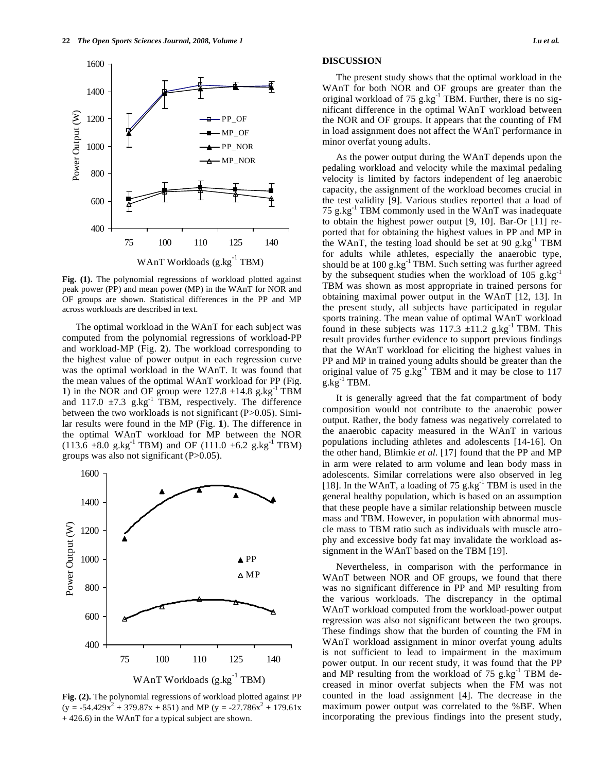

**Fig. (1).** The polynomial regressions of workload plotted against peak power (PP) and mean power (MP) in the WAnT for NOR and OF groups are shown. Statistical differences in the PP and MP across workloads are described in text.

The optimal workload in the WAnT for each subject was computed from the polynomial regressions of workload-PP and workload-MP (Fig. **2**). The workload corresponding to the highest value of power output in each regression curve was the optimal workload in the WAnT. It was found that the mean values of the optimal WAnT workload for PP (Fig. **1**) in the NOR and OF group were  $127.8 \pm 14.8$  g.kg<sup>-1</sup> TBM and 117.0  $\pm$ 7.3 g.kg<sup>-1</sup> TBM, respectively. The difference between the two workloads is not significant (P>0.05). Similar results were found in the MP (Fig. **1**). The difference in the optimal WAnT workload for MP between the NOR  $(113.6 \pm 8.0 \text{ g} \cdot \text{kg}^{-1} \text{ TBM})$  and OF  $(111.0 \pm 6.2 \text{ g} \cdot \text{kg}^{-1} \text{ TBM})$ groups was also not significant (P>0.05).



**Fig. (2).** The polynomial regressions of workload plotted against PP  $(y = -54.429x^{2} + 379.87x + 851)$  and MP  $(y = -27.786x^{2} + 179.61x$ + 426.6) in the WAnT for a typical subject are shown.

#### **DISCUSSION**

The present study shows that the optimal workload in the WAnT for both NOR and OF groups are greater than the original workload of 75  $g/kg^{-1}$  TBM. Further, there is no significant difference in the optimal WAnT workload between the NOR and OF groups. It appears that the counting of FM in load assignment does not affect the WAnT performance in minor overfat young adults.

As the power output during the WAnT depends upon the pedaling workload and velocity while the maximal pedaling velocity is limited by factors independent of leg anaerobic capacity, the assignment of the workload becomes crucial in the test validity [9]. Various studies reported that a load of 75 g.kg $^{-1}$  TBM commonly used in the WAnT was inadequate to obtain the highest power output [9, 10]. Bar-Or [11] reported that for obtaining the highest values in PP and MP in the WAnT, the testing load should be set at 90 g.kg $^{-1}$  TBM for adults while athletes, especially the anaerobic type, should be at  $100 \text{ g} \text{ kg}^{-1}$  TBM. Such setting was further agreed by the subsequent studies when the workload of 105 g.kg $^{-1}$ TBM was shown as most appropriate in trained persons for obtaining maximal power output in the WAnT [12, 13]. In the present study, all subjects have participated in regular sports training. The mean value of optimal WAnT workload found in these subjects was  $117.3 \pm 11.2$  g.kg<sup>-1</sup> TBM. This result provides further evidence to support previous findings that the WAnT workload for eliciting the highest values in PP and MP in trained young adults should be greater than the original value of  $75 \text{ g} \cdot \text{kg}^{-1}$  TBM and it may be close to 117  $g.kg^{-1}$  TBM.

It is generally agreed that the fat compartment of body composition would not contribute to the anaerobic power output. Rather, the body fatness was negatively correlated to the anaerobic capacity measured in the WAnT in various populations including athletes and adolescents [14-16]. On the other hand, Blimkie *et al*. [17] found that the PP and MP in arm were related to arm volume and lean body mass in adolescents. Similar correlations were also observed in leg [18]. In the WAnT, a loading of 75 g.kg<sup>-1</sup> TBM is used in the general healthy population, which is based on an assumption that these people have a similar relationship between muscle mass and TBM. However, in population with abnormal muscle mass to TBM ratio such as individuals with muscle atrophy and excessive body fat may invalidate the workload assignment in the WAnT based on the TBM [19].

Nevertheless, in comparison with the performance in WAnT between NOR and OF groups, we found that there was no significant difference in PP and MP resulting from the various workloads. The discrepancy in the optimal WAnT workload computed from the workload-power output regression was also not significant between the two groups. These findings show that the burden of counting the FM in WAnT workload assignment in minor overfat young adults is not sufficient to lead to impairment in the maximum power output. In our recent study, it was found that the PP and MP resulting from the workload of  $75$  g.kg<sup>-1</sup> TBM decreased in minor overfat subjects when the FM was not counted in the load assignment [4]. The decrease in the maximum power output was correlated to the %BF. When incorporating the previous findings into the present study,